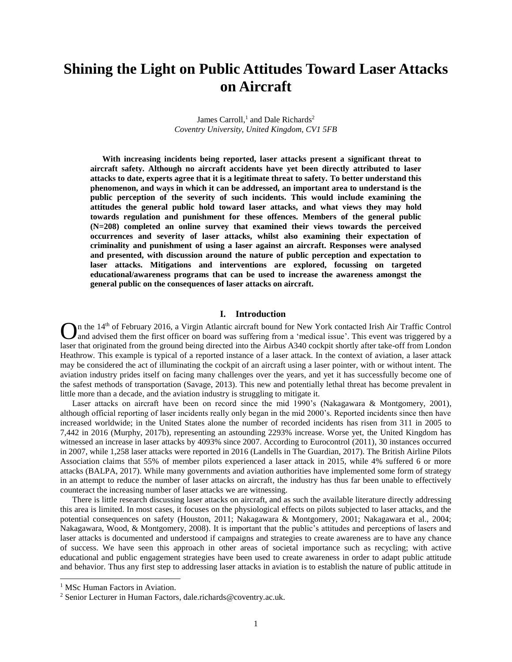# **Shining the Light on Public Attitudes Toward Laser Attacks on Aircraft**

James Carroll,<sup>1</sup> and Dale Richards<sup>2</sup> *Coventry University, United Kingdom, CV1 5FB*

**With increasing incidents being reported, laser attacks present a significant threat to aircraft safety. Although no aircraft accidents have yet been directly attributed to laser attacks to date, experts agree that it is a legitimate threat to safety. To better understand this phenomenon, and ways in which it can be addressed, an important area to understand is the public perception of the severity of such incidents. This would include examining the attitudes the general public hold toward laser attacks, and what views they may hold towards regulation and punishment for these offences. Members of the general public (N=208) completed an online survey that examined their views towards the perceived occurrences and severity of laser attacks, whilst also examining their expectation of criminality and punishment of using a laser against an aircraft. Responses were analysed and presented, with discussion around the nature of public perception and expectation to laser attacks. Mitigations and interventions are explored, focussing on targeted educational/awareness programs that can be used to increase the awareness amongst the general public on the consequences of laser attacks on aircraft.**

# **I. Introduction**

n the 14<sup>th</sup> of February 2016, a Virgin Atlantic aircraft bound for New York contacted Irish Air Traffic Control On the 14<sup>th</sup> of February 2016, a Virgin Atlantic aircraft bound for New York contacted Irish Air Traffic Control and advised them the first officer on board was suffering from a 'medical issue'. This event was triggered b laser that originated from the ground being directed into the Airbus A340 cockpit shortly after take-off from London Heathrow. This example is typical of a reported instance of a laser attack. In the context of aviation, a laser attack may be considered the act of illuminating the cockpit of an aircraft using a laser pointer, with or without intent. The aviation industry prides itself on facing many challenges over the years, and yet it has successfully become one of the safest methods of transportation (Savage, 2013). This new and potentially lethal threat has become prevalent in little more than a decade, and the aviation industry is struggling to mitigate it.

Laser attacks on aircraft have been on record since the mid 1990's (Nakagawara & Montgomery, 2001), although official reporting of laser incidents really only began in the mid 2000's. Reported incidents since then have increased worldwide; in the United States alone the number of recorded incidents has risen from 311 in 2005 to 7,442 in 2016 (Murphy, 2017b), representing an astounding 2293% increase. Worse yet, the United Kingdom has witnessed an increase in laser attacks by 4093% since 2007. According to Eurocontrol (2011), 30 instances occurred in 2007, while 1,258 laser attacks were reported in 2016 (Landells in The Guardian, 2017). The British Airline Pilots Association claims that 55% of member pilots experienced a laser attack in 2015, while 4% suffered 6 or more attacks (BALPA, 2017). While many governments and aviation authorities have implemented some form of strategy in an attempt to reduce the number of laser attacks on aircraft, the industry has thus far been unable to effectively counteract the increasing number of laser attacks we are witnessing.

There is little research discussing laser attacks on aircraft, and as such the available literature directly addressing this area is limited. In most cases, it focuses on the physiological effects on pilots subjected to laser attacks, and the potential consequences on safety (Houston, 2011; Nakagawara & Montgomery, 2001; Nakagawara et al., 2004; Nakagawara, Wood, & Montgomery, 2008). It is important that the public's attitudes and perceptions of lasers and laser attacks is documented and understood if campaigns and strategies to create awareness are to have any chance of success. We have seen this approach in other areas of societal importance such as recycling; with active educational and public engagement strategies have been used to create awareness in order to adapt public attitude and behavior. Thus any first step to addressing laser attacks in aviation is to establish the nature of public attitude in

 $\overline{a}$ 

<sup>&</sup>lt;sup>1</sup> MSc Human Factors in Aviation.

<sup>2</sup> Senior Lecturer in Human Factors, dale.richards@coventry.ac.uk.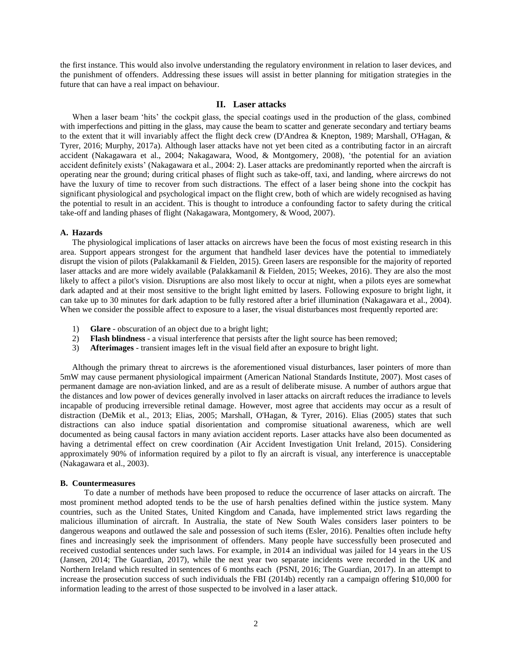the first instance. This would also involve understanding the regulatory environment in relation to laser devices, and the punishment of offenders. Addressing these issues will assist in better planning for mitigation strategies in the future that can have a real impact on behaviour.

# **II. Laser attacks**

When a laser beam 'hits' the cockpit glass, the special coatings used in the production of the glass, combined with imperfections and pitting in the glass, may cause the beam to scatter and generate secondary and tertiary beams to the extent that it will invariably affect the flight deck crew (D'Andrea & Knepton, 1989; Marshall, O'Hagan, & Tyrer, 2016; Murphy, 2017a). Although laser attacks have not yet been cited as a contributing factor in an aircraft accident (Nakagawara et al., 2004; Nakagawara, Wood, & Montgomery, 2008), 'the potential for an aviation accident definitely exists' (Nakagawara et al., 2004: 2). Laser attacks are predominantly reported when the aircraft is operating near the ground; during critical phases of flight such as take-off, taxi, and landing, where aircrews do not have the luxury of time to recover from such distractions. The effect of a laser being shone into the cockpit has significant physiological and psychological impact on the flight crew, both of which are widely recognised as having the potential to result in an accident. This is thought to introduce a confounding factor to safety during the critical take-off and landing phases of flight (Nakagawara, Montgomery, & Wood, 2007).

# **A. Hazards**

The physiological implications of laser attacks on aircrews have been the focus of most existing research in this area. Support appears strongest for the argument that handheld laser devices have the potential to immediately disrupt the vision of pilots (Palakkamanil & Fielden, 2015). Green lasers are responsible for the majority of reported laser attacks and are more widely available (Palakkamanil & Fielden, 2015; Weekes, 2016). They are also the most likely to affect a pilot's vision. Disruptions are also most likely to occur at night, when a pilots eyes are somewhat dark adapted and at their most sensitive to the bright light emitted by lasers. Following exposure to bright light, it can take up to 30 minutes for dark adaption to be fully restored after a brief illumination (Nakagawara et al., 2004). When we consider the possible affect to exposure to a laser, the visual disturbances most frequently reported are:

- 1) **Glare** obscuration of an object due to a bright light;
- 2) **Flash blindness** a visual interference that persists after the light source has been removed;
- 3) **Afterimages** transient images left in the visual field after an exposure to bright light.

Although the primary threat to aircrews is the aforementioned visual disturbances, laser pointers of more than 5mW may cause permanent physiological impairment (American National Standards Institute, 2007). Most cases of permanent damage are non-aviation linked, and are as a result of deliberate misuse. A number of authors argue that the distances and low power of devices generally involved in laser attacks on aircraft reduces the irradiance to levels incapable of producing irreversible retinal damage. However, most agree that accidents may occur as a result of distraction (DeMik et al., 2013; Elias, 2005; Marshall, O'Hagan, & Tyrer, 2016). Elias (2005) states that such distractions can also induce spatial disorientation and compromise situational awareness, which are well documented as being causal factors in many aviation accident reports. Laser attacks have also been documented as having a detrimental effect on crew coordination (Air Accident Investigation Unit Ireland, 2015). Considering approximately 90% of information required by a pilot to fly an aircraft is visual, any interference is unacceptable (Nakagawara et al., 2003).

#### **B. Countermeasures**

To date a number of methods have been proposed to reduce the occurrence of laser attacks on aircraft. The most prominent method adopted tends to be the use of harsh penalties defined within the justice system. Many countries, such as the United States, United Kingdom and Canada, have implemented strict laws regarding the malicious illumination of aircraft. In Australia, the state of New South Wales considers laser pointers to be dangerous weapons and outlawed the sale and possession of such items (Esler, 2016). Penalties often include hefty fines and increasingly seek the imprisonment of offenders. Many people have successfully been prosecuted and received custodial sentences under such laws. For example, in 2014 an individual was jailed for 14 years in the US (Jansen, 2014; The Guardian, 2017), while the next year two separate incidents were recorded in the UK and Northern Ireland which resulted in sentences of 6 months each (PSNI, 2016; The Guardian, 2017). In an attempt to increase the prosecution success of such individuals the FBI (2014b) recently ran a campaign offering \$10,000 for information leading to the arrest of those suspected to be involved in a laser attack.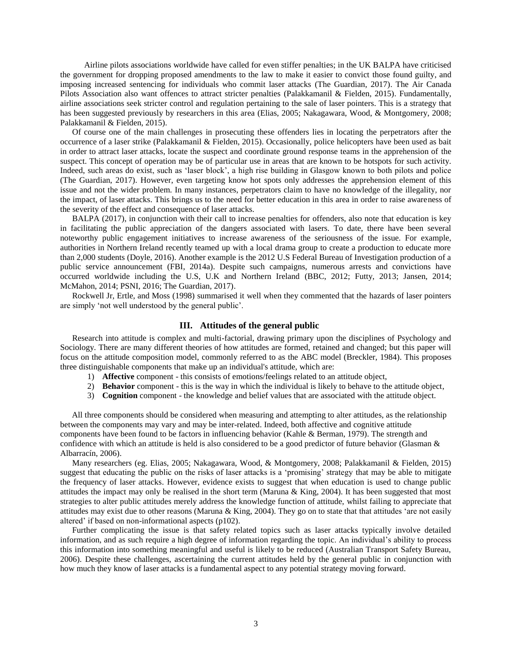Airline pilots associations worldwide have called for even stiffer penalties; in the UK BALPA have criticised the government for dropping proposed amendments to the law to make it easier to convict those found guilty, and imposing increased sentencing for individuals who commit laser attacks (The Guardian, 2017). The Air Canada Pilots Association also want offences to attract stricter penalties (Palakkamanil & Fielden, 2015). Fundamentally, airline associations seek stricter control and regulation pertaining to the sale of laser pointers. This is a strategy that has been suggested previously by researchers in this area (Elias, 2005; Nakagawara, Wood, & Montgomery, 2008; Palakkamanil & Fielden, 2015).

Of course one of the main challenges in prosecuting these offenders lies in locating the perpetrators after the occurrence of a laser strike (Palakkamanil & Fielden, 2015). Occasionally, police helicopters have been used as bait in order to attract laser attacks, locate the suspect and coordinate ground response teams in the apprehension of the suspect. This concept of operation may be of particular use in areas that are known to be hotspots for such activity. Indeed, such areas do exist, such as 'laser block', a high rise building in Glasgow known to both pilots and police (The Guardian, 2017). However, even targeting know hot spots only addresses the apprehension element of this issue and not the wider problem. In many instances, perpetrators claim to have no knowledge of the illegality, nor the impact, of laser attacks. This brings us to the need for better education in this area in order to raise awareness of the severity of the effect and consequence of laser attacks.

BALPA (2017), in conjunction with their call to increase penalties for offenders, also note that education is key in facilitating the public appreciation of the dangers associated with lasers. To date, there have been several noteworthy public engagement initiatives to increase awareness of the seriousness of the issue. For example, authorities in Northern Ireland recently teamed up with a local drama group to create a production to educate more than 2,000 students (Doyle, 2016). Another example is the 2012 U.S Federal Bureau of Investigation production of a public service announcement (FBI, 2014a). Despite such campaigns, numerous arrests and convictions have occurred worldwide including the U.S, U.K and Northern Ireland (BBC, 2012; Futty, 2013; Jansen, 2014; McMahon, 2014; PSNI, 2016; The Guardian, 2017).

Rockwell Jr, Ertle, and Moss (1998) summarised it well when they commented that the hazards of laser pointers are simply 'not well understood by the general public'.

# **III. Attitudes of the general public**

Research into attitude is complex and multi-factorial, drawing primary upon the disciplines of Psychology and Sociology. There are many different theories of how attitudes are formed, retained and changed; but this paper will focus on the attitude composition model, commonly referred to as the ABC model (Breckler, 1984). This proposes three distinguishable components that make up an individual's attitude, which are:

- 1) **Affective** component this consists of emotions/feelings related to an attitude object,
- 2) **Behavior** component this is the way in which the individual is likely to behave to the attitude object,
- 3) **Cognition** component the knowledge and belief values that are associated with the attitude object.

All three components should be considered when measuring and attempting to alter attitudes, as the relationship between the components may vary and may be inter-related. Indeed, both affective and cognitive attitude components have been found to be factors in influencing behavior (Kahle & Berman, 1979). The strength and confidence with which an attitude is held is also considered to be a good predictor of future behavior (Glasman & Albarracín, 2006).

Many researchers (eg. Elias, 2005; Nakagawara, Wood, & Montgomery, 2008; Palakkamanil & Fielden, 2015) suggest that educating the public on the risks of laser attacks is a 'promising' strategy that may be able to mitigate the frequency of laser attacks. However, evidence exists to suggest that when education is used to change public attitudes the impact may only be realised in the short term (Maruna & King, 2004). It has been suggested that most strategies to alter public attitudes merely address the knowledge function of attitude, whilst failing to appreciate that attitudes may exist due to other reasons (Maruna & King, 2004). They go on to state that that attitudes 'are not easily altered' if based on non-informational aspects (p102).

Further complicating the issue is that safety related topics such as laser attacks typically involve detailed information, and as such require a high degree of information regarding the topic. An individual's ability to process this information into something meaningful and useful is likely to be reduced (Australian Transport Safety Bureau, 2006). Despite these challenges, ascertaining the current attitudes held by the general public in conjunction with how much they know of laser attacks is a fundamental aspect to any potential strategy moving forward.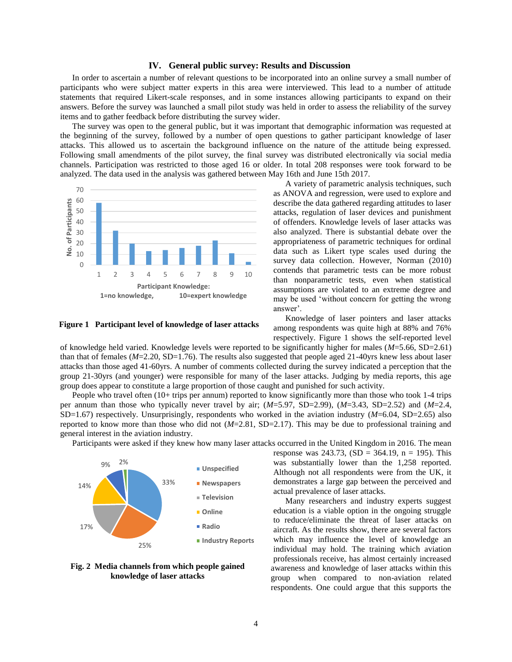# **IV. General public survey: Results and Discussion**

In order to ascertain a number of relevant questions to be incorporated into an online survey a small number of participants who were subject matter experts in this area were interviewed. This lead to a number of attitude statements that required Likert-scale responses, and in some instances allowing participants to expand on their answers. Before the survey was launched a small pilot study was held in order to assess the reliability of the survey items and to gather feedback before distributing the survey wider.

The survey was open to the general public, but it was important that demographic information was requested at the beginning of the survey, followed by a number of open questions to gather participant knowledge of laser attacks. This allowed us to ascertain the background influence on the nature of the attitude being expressed. Following small amendments of the pilot survey, the final survey was distributed electronically via social media channels. Participation was restricted to those aged 16 or older. In total 208 responses were took forward to be analyzed. The data used in the analysis was gathered between May 16th and June 15th 2017.



**Figure 1 Participant level of knowledge of laser attacks** 

A variety of parametric analysis techniques, such as ANOVA and regression, were used to explore and describe the data gathered regarding attitudes to laser attacks, regulation of laser devices and punishment of offenders. Knowledge levels of laser attacks was also analyzed. There is substantial debate over the appropriateness of parametric techniques for ordinal data such as Likert type scales used during the survey data collection. However, Norman (2010) contends that parametric tests can be more robust than nonparametric tests, even when statistical assumptions are violated to an extreme degree and may be used 'without concern for getting the wrong answer'.

Knowledge of laser pointers and laser attacks among respondents was quite high at 88% and 76% respectively. Figure 1 shows the self-reported level

of knowledge held varied. Knowledge levels were reported to be significantly higher for males (*M*=5.66, SD=2.61) than that of females (*M*=2.20, SD=1.76). The results also suggested that people aged 21-40yrs knew less about laser attacks than those aged 41-60yrs. A number of comments collected during the survey indicated a perception that the group 21-30yrs (and younger) were responsible for many of the laser attacks. Judging by media reports, this age group does appear to constitute a large proportion of those caught and punished for such activity.

People who travel often (10+ trips per annum) reported to know significantly more than those who took 1-4 trips per annum than those who typically never travel by air; (*M*=5.97, SD=2.99), (*M*=3.43, SD=2.52) and (*M*=2.4, SD=1.67) respectively. Unsurprisingly, respondents who worked in the aviation industry (*M*=6.04, SD=2.65) also reported to know more than those who did not (*M*=2.81, SD=2.17). This may be due to professional training and general interest in the aviation industry.

Participants were asked if they knew how many laser attacks occurred in the United Kingdom in 2016. The mean



**Fig. 2 Media channels from which people gained knowledge of laser attacks**

response was 243.73,  $(SD = 364.19, n = 195)$ . This was substantially lower than the 1,258 reported. Although not all respondents were from the UK, it demonstrates a large gap between the perceived and actual prevalence of laser attacks.

Many researchers and industry experts suggest education is a viable option in the ongoing struggle to reduce/eliminate the threat of laser attacks on aircraft. As the results show, there are several factors which may influence the level of knowledge an individual may hold. The training which aviation professionals receive, has almost certainly increased awareness and knowledge of laser attacks within this group when compared to non-aviation related respondents. One could argue that this supports the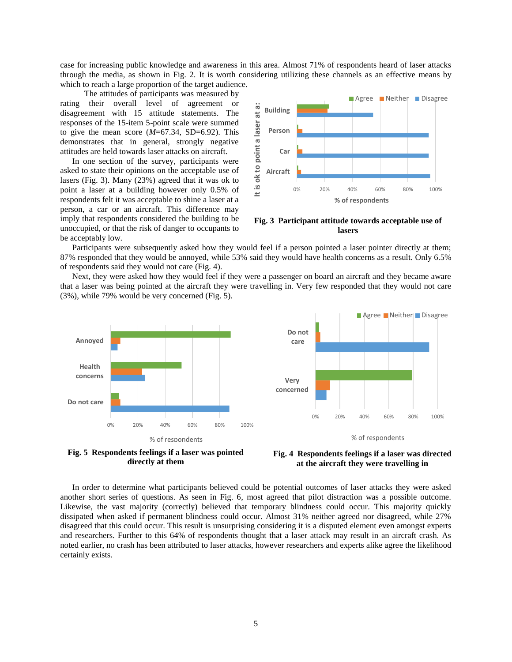case for increasing public knowledge and awareness in this area. Almost 71% of respondents heard of laser attacks through the media, as shown in Fig. 2. It is worth considering utilizing these channels as an effective means by which to reach a large proportion of the target audience.

The attitudes of participants was measured by rating their overall level of agreement or disagreement with 15 attitude statements. The responses of the 15-item 5-point scale were summed to give the mean score  $(M=67.34, SD=6.92)$ . This demonstrates that in general, strongly negative attitudes are held towards laser attacks on aircraft.

In one section of the survey, participants were asked to state their opinions on the acceptable use of lasers (Fig. 3). Many (23%) agreed that it was ok to point a laser at a building however only 0.5% of respondents felt it was acceptable to shine a laser at a person, a car or an aircraft. This difference may imply that respondents considered the building to be unoccupied, or that the risk of danger to occupants to be acceptably low.



**Fig. 3 Participant attitude towards acceptable use of lasers**

Participants were subsequently asked how they would feel if a person pointed a laser pointer directly at them; 87% responded that they would be annoyed, while 53% said they would have health concerns as a result. Only 6.5% of respondents said they would not care (Fig. 4).

Next, they were asked how they would feel if they were a passenger on board an aircraft and they became aware that a laser was being pointed at the aircraft they were travelling in. Very few responded that they would not care (3%), while 79% would be very concerned (Fig. 5).







In order to determine what participants believed could be potential outcomes of laser attacks they were asked another short series of questions. As seen in Fig. 6, most agreed that pilot distraction was a possible outcome. Likewise, the vast majority (correctly) believed that temporary blindness could occur. This majority quickly dissipated when asked if permanent blindness could occur. Almost 31% neither agreed nor disagreed, while 27% disagreed that this could occur. This result is unsurprising considering it is a disputed element even amongst experts and researchers. Further to this 64% of respondents thought that a laser attack may result in an aircraft crash. As noted earlier, no crash has been attributed to laser attacks, however researchers and experts alike agree the likelihood certainly exists.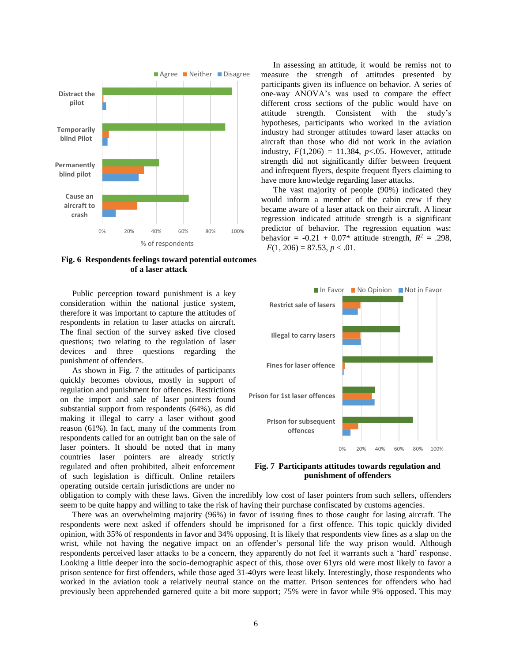

**Fig. 6 Respondents feelings toward potential outcomes of a laser attack**

Public perception toward punishment is a key consideration within the national justice system, therefore it was important to capture the attitudes of respondents in relation to laser attacks on aircraft. The final section of the survey asked five closed questions; two relating to the regulation of laser devices and three questions regarding the punishment of offenders.

As shown in Fig. 7 the attitudes of participants quickly becomes obvious, mostly in support of regulation and punishment for offences. Restrictions on the import and sale of laser pointers found substantial support from respondents (64%), as did making it illegal to carry a laser without good reason (61%). In fact, many of the comments from respondents called for an outright ban on the sale of laser pointers. It should be noted that in many countries laser pointers are already strictly regulated and often prohibited, albeit enforcement of such legislation is difficult. Online retailers operating outside certain jurisdictions are under no

In assessing an attitude, it would be remiss not to measure the strength of attitudes presented by participants given its influence on behavior. A series of one-way ANOVA's was used to compare the effect different cross sections of the public would have on attitude strength. Consistent with the study's hypotheses, participants who worked in the aviation industry had stronger attitudes toward laser attacks on aircraft than those who did not work in the aviation industry,  $F(1,206) = 11.384$ ,  $p < .05$ . However, attitude strength did not significantly differ between frequent and infrequent flyers, despite frequent flyers claiming to have more knowledge regarding laser attacks.

The vast majority of people (90%) indicated they would inform a member of the cabin crew if they became aware of a laser attack on their aircraft. A linear regression indicated attitude strength is a significant predictor of behavior. The regression equation was: behavior =  $-0.21 + 0.07$ <sup>\*</sup> attitude strength,  $R^2 = .298$ ,  $F(1, 206) = 87.53, p < .01.$ 



**Fig. 7 Participants attitudes towards regulation and punishment of offenders**

obligation to comply with these laws. Given the incredibly low cost of laser pointers from such sellers, offenders seem to be quite happy and willing to take the risk of having their purchase confiscated by customs agencies.

There was an overwhelming majority (96%) in favor of issuing fines to those caught for lasing aircraft. The respondents were next asked if offenders should be imprisoned for a first offence. This topic quickly divided opinion, with 35% of respondents in favor and 34% opposing. It is likely that respondents view fines as a slap on the wrist, while not having the negative impact on an offender's personal life the way prison would. Although respondents perceived laser attacks to be a concern, they apparently do not feel it warrants such a 'hard' response. Looking a little deeper into the socio-demographic aspect of this, those over 61yrs old were most likely to favor a prison sentence for first offenders, while those aged 31-40yrs were least likely. Interestingly, those respondents who worked in the aviation took a relatively neutral stance on the matter. Prison sentences for offenders who had previously been apprehended garnered quite a bit more support; 75% were in favor while 9% opposed. This may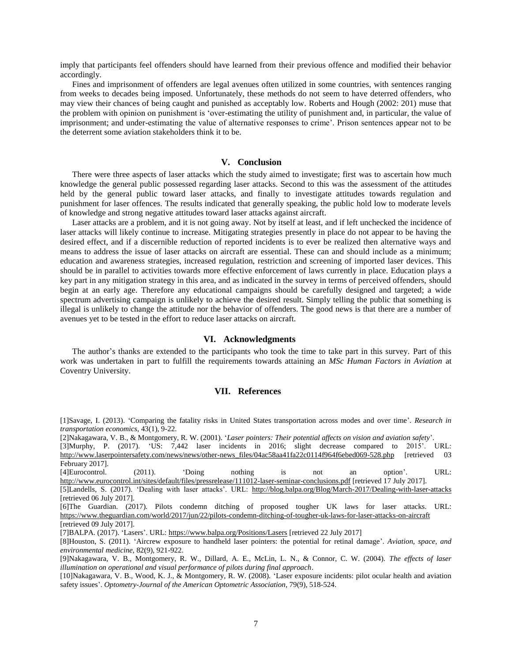imply that participants feel offenders should have learned from their previous offence and modified their behavior accordingly.

Fines and imprisonment of offenders are legal avenues often utilized in some countries, with sentences ranging from weeks to decades being imposed. Unfortunately, these methods do not seem to have deterred offenders, who may view their chances of being caught and punished as acceptably low. Roberts and Hough (2002: 201) muse that the problem with opinion on punishment is 'over-estimating the utility of punishment and, in particular, the value of imprisonment; and under-estimating the value of alternative responses to crime'. Prison sentences appear not to be the deterrent some aviation stakeholders think it to be.

# **V. Conclusion**

There were three aspects of laser attacks which the study aimed to investigate; first was to ascertain how much knowledge the general public possessed regarding laser attacks. Second to this was the assessment of the attitudes held by the general public toward laser attacks, and finally to investigate attitudes towards regulation and punishment for laser offences. The results indicated that generally speaking, the public hold low to moderate levels of knowledge and strong negative attitudes toward laser attacks against aircraft.

Laser attacks are a problem, and it is not going away. Not by itself at least, and if left unchecked the incidence of laser attacks will likely continue to increase. Mitigating strategies presently in place do not appear to be having the desired effect, and if a discernible reduction of reported incidents is to ever be realized then alternative ways and means to address the issue of laser attacks on aircraft are essential. These can and should include as a minimum; education and awareness strategies, increased regulation, restriction and screening of imported laser devices. This should be in parallel to activities towards more effective enforcement of laws currently in place. Education plays a key part in any mitigation strategy in this area, and as indicated in the survey in terms of perceived offenders, should begin at an early age. Therefore any educational campaigns should be carefully designed and targeted; a wide spectrum advertising campaign is unlikely to achieve the desired result. Simply telling the public that something is illegal is unlikely to change the attitude nor the behavior of offenders. The good news is that there are a number of avenues yet to be tested in the effort to reduce laser attacks on aircraft*.*

# **VI. Acknowledgments**

The author's thanks are extended to the participants who took the time to take part in this survey. Part of this work was undertaken in part to fulfill the requirements towards attaining an *MSc Human Factors in Aviation* at Coventry University.

# **VII. References**

[1]Savage, I. (2013). 'Comparing the fatality risks in United States transportation across modes and over time'. *Research in transportation economics*, 43(1), 9-22.

[2]Nakagawara, V. B., & Montgomery, R. W. (2001). '*Laser pointers: Their potential affects on vision and aviation safety*'.

[3]Murphy, P. (2017). 'US: 7,442 laser incidents in 2016; slight decrease compared to 2015'. URL: [http://www.laserpointersafety.com/news/news/other-news\\_files/04ac58aa41fa22c0114f964f6ebed069-528.php](http://www.laserpointersafety.com/news/news/other-news_files/04ac58aa41fa22c0114f964f6ebed069-528.php) [retrieved 03 February 2017].

[4]Eurocontrol. (2011). 'Doing nothing is not an option'. URL: <http://www.eurocontrol.int/sites/default/files/pressrelease/111012-laser-seminar-conclusions.pdf> [retrieved 17 July 2017]. [5]Landells, S. (2017). 'Dealing with laser attacks'. URL:<http://blog.balpa.org/Blog/March-2017/Dealing-with-laser-attacks> [retrieved 06 July 2017].

[6]The Guardian. (2017). Pilots condemn ditching of proposed tougher UK laws for laser attacks. URL: <https://www.theguardian.com/world/2017/jun/22/pilots-condemn-ditching-of-tougher-uk-laws-for-laser-attacks-on-aircraft> [retrieved 09 July 2017].

[7]BALPA. (2017). 'Lasers'. URL[: https://www.balpa.org/Positions/Lasers](https://www.balpa.org/Positions/Lasers) [retrieved 22 July 2017]

[8]Houston, S. (2011). 'Aircrew exposure to handheld laser pointers: the potential for retinal damage'. *Aviation, space, and environmental medicine*, 82(9), 921-922.

[9]Nakagawara, V. B., Montgomery, R. W., Dillard, A. E., McLin, L. N., & Connor, C. W. (2004). *The effects of laser illumination on operational and visual performance of pilots during final approach*.

[10]Nakagawara, V. B., Wood, K. J., & Montgomery, R. W. (2008). 'Laser exposure incidents: pilot ocular health and aviation safety issues'. *Optometry-Journal of the American Optometric Association*, 79(9), 518-524.